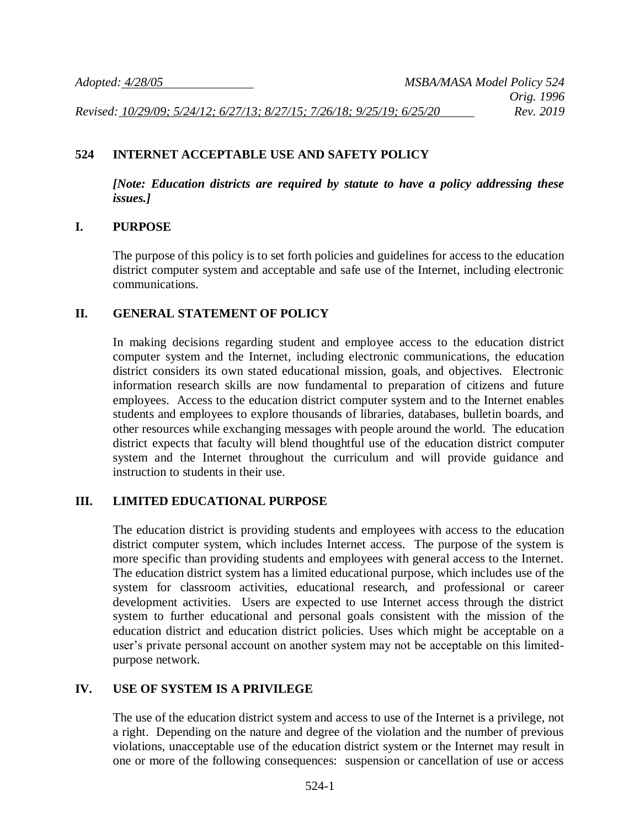### **524 INTERNET ACCEPTABLE USE AND SAFETY POLICY**

*[Note: Education districts are required by statute to have a policy addressing these issues.]*

#### **I. PURPOSE**

The purpose of this policy is to set forth policies and guidelines for access to the education district computer system and acceptable and safe use of the Internet, including electronic communications.

#### **II. GENERAL STATEMENT OF POLICY**

In making decisions regarding student and employee access to the education district computer system and the Internet, including electronic communications, the education district considers its own stated educational mission, goals, and objectives. Electronic information research skills are now fundamental to preparation of citizens and future employees. Access to the education district computer system and to the Internet enables students and employees to explore thousands of libraries, databases, bulletin boards, and other resources while exchanging messages with people around the world. The education district expects that faculty will blend thoughtful use of the education district computer system and the Internet throughout the curriculum and will provide guidance and instruction to students in their use.

#### **III. LIMITED EDUCATIONAL PURPOSE**

The education district is providing students and employees with access to the education district computer system, which includes Internet access. The purpose of the system is more specific than providing students and employees with general access to the Internet. The education district system has a limited educational purpose, which includes use of the system for classroom activities, educational research, and professional or career development activities. Users are expected to use Internet access through the district system to further educational and personal goals consistent with the mission of the education district and education district policies. Uses which might be acceptable on a user's private personal account on another system may not be acceptable on this limitedpurpose network.

#### **IV. USE OF SYSTEM IS A PRIVILEGE**

The use of the education district system and access to use of the Internet is a privilege, not a right. Depending on the nature and degree of the violation and the number of previous violations, unacceptable use of the education district system or the Internet may result in one or more of the following consequences: suspension or cancellation of use or access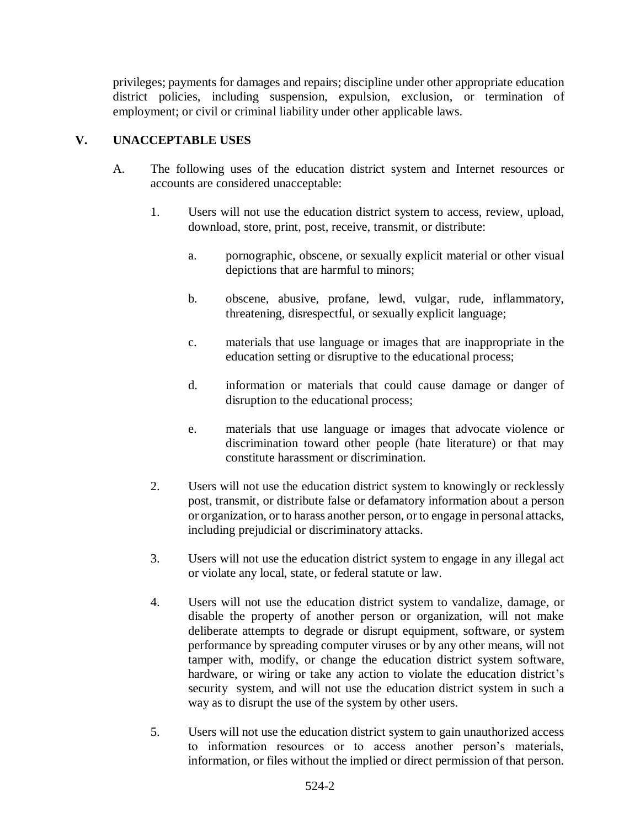privileges; payments for damages and repairs; discipline under other appropriate education district policies, including suspension, expulsion, exclusion, or termination of employment; or civil or criminal liability under other applicable laws.

## **V. UNACCEPTABLE USES**

- A. The following uses of the education district system and Internet resources or accounts are considered unacceptable:
	- 1. Users will not use the education district system to access, review, upload, download, store, print, post, receive, transmit, or distribute:
		- a. pornographic, obscene, or sexually explicit material or other visual depictions that are harmful to minors;
		- b. obscene, abusive, profane, lewd, vulgar, rude, inflammatory, threatening, disrespectful, or sexually explicit language;
		- c. materials that use language or images that are inappropriate in the education setting or disruptive to the educational process;
		- d. information or materials that could cause damage or danger of disruption to the educational process;
		- e. materials that use language or images that advocate violence or discrimination toward other people (hate literature) or that may constitute harassment or discrimination.
	- 2. Users will not use the education district system to knowingly or recklessly post, transmit, or distribute false or defamatory information about a person or organization, or to harass another person, or to engage in personal attacks, including prejudicial or discriminatory attacks.
	- 3. Users will not use the education district system to engage in any illegal act or violate any local, state, or federal statute or law.
	- 4. Users will not use the education district system to vandalize, damage, or disable the property of another person or organization, will not make deliberate attempts to degrade or disrupt equipment, software, or system performance by spreading computer viruses or by any other means, will not tamper with, modify, or change the education district system software, hardware, or wiring or take any action to violate the education district's security system, and will not use the education district system in such a way as to disrupt the use of the system by other users.
	- 5. Users will not use the education district system to gain unauthorized access to information resources or to access another person's materials, information, or files without the implied or direct permission of that person.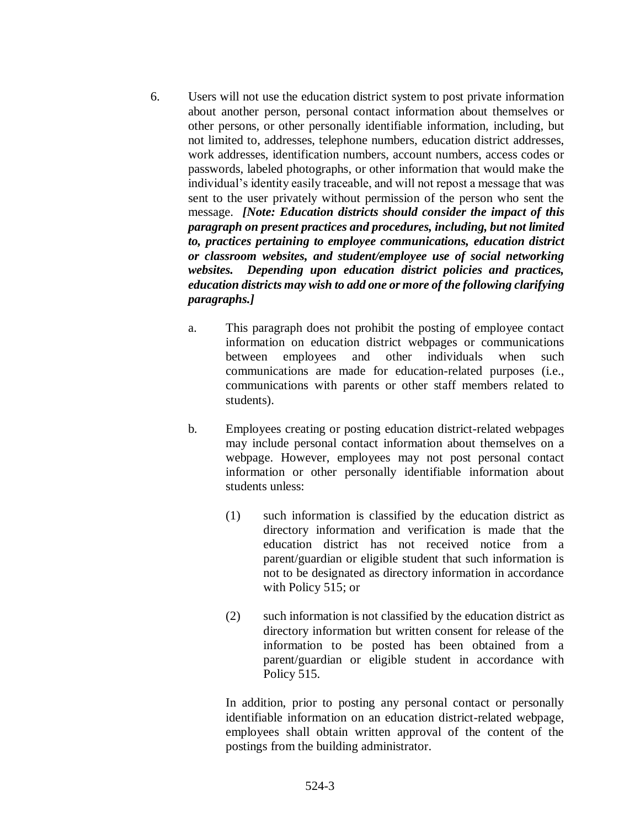- 6. Users will not use the education district system to post private information about another person, personal contact information about themselves or other persons, or other personally identifiable information, including, but not limited to, addresses, telephone numbers, education district addresses, work addresses, identification numbers, account numbers, access codes or passwords, labeled photographs, or other information that would make the individual's identity easily traceable, and will not repost a message that was sent to the user privately without permission of the person who sent the message. *[Note: Education districts should consider the impact of this paragraph on present practices and procedures, including, but not limited to, practices pertaining to employee communications, education district or classroom websites, and student/employee use of social networking websites. Depending upon education district policies and practices, education districts may wish to add one or more of the following clarifying paragraphs.]*
	- a. This paragraph does not prohibit the posting of employee contact information on education district webpages or communications between employees and other individuals when such communications are made for education-related purposes (i.e., communications with parents or other staff members related to students).
	- b. Employees creating or posting education district-related webpages may include personal contact information about themselves on a webpage. However, employees may not post personal contact information or other personally identifiable information about students unless:
		- (1) such information is classified by the education district as directory information and verification is made that the education district has not received notice from a parent/guardian or eligible student that such information is not to be designated as directory information in accordance with Policy 515; or
		- (2) such information is not classified by the education district as directory information but written consent for release of the information to be posted has been obtained from a parent/guardian or eligible student in accordance with Policy 515.

In addition, prior to posting any personal contact or personally identifiable information on an education district-related webpage, employees shall obtain written approval of the content of the postings from the building administrator.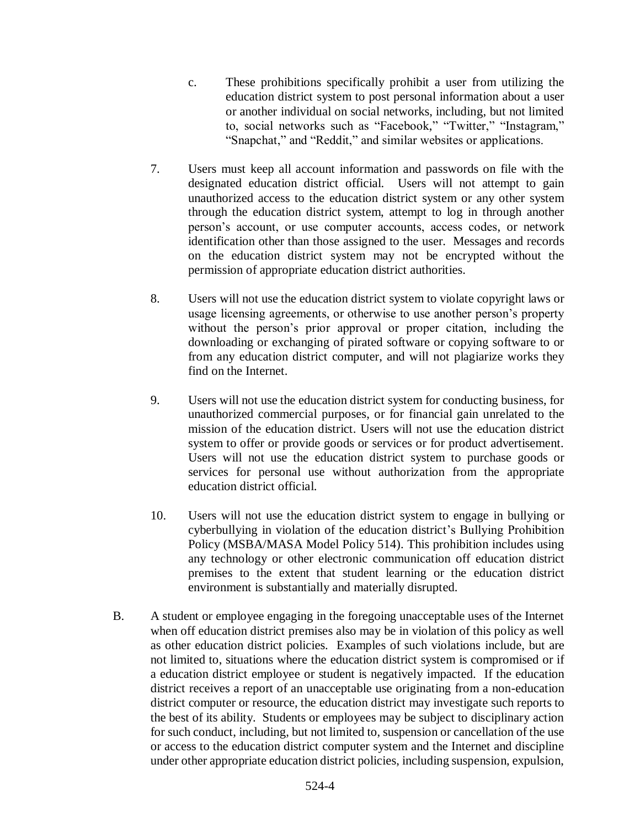- c. These prohibitions specifically prohibit a user from utilizing the education district system to post personal information about a user or another individual on social networks, including, but not limited to, social networks such as "Facebook," "Twitter," "Instagram," "Snapchat," and "Reddit," and similar websites or applications.
- 7. Users must keep all account information and passwords on file with the designated education district official. Users will not attempt to gain unauthorized access to the education district system or any other system through the education district system, attempt to log in through another person's account, or use computer accounts, access codes, or network identification other than those assigned to the user. Messages and records on the education district system may not be encrypted without the permission of appropriate education district authorities.
- 8. Users will not use the education district system to violate copyright laws or usage licensing agreements, or otherwise to use another person's property without the person's prior approval or proper citation, including the downloading or exchanging of pirated software or copying software to or from any education district computer, and will not plagiarize works they find on the Internet.
- 9. Users will not use the education district system for conducting business, for unauthorized commercial purposes, or for financial gain unrelated to the mission of the education district. Users will not use the education district system to offer or provide goods or services or for product advertisement. Users will not use the education district system to purchase goods or services for personal use without authorization from the appropriate education district official.
- 10. Users will not use the education district system to engage in bullying or cyberbullying in violation of the education district's Bullying Prohibition Policy (MSBA/MASA Model Policy 514). This prohibition includes using any technology or other electronic communication off education district premises to the extent that student learning or the education district environment is substantially and materially disrupted.
- B. A student or employee engaging in the foregoing unacceptable uses of the Internet when off education district premises also may be in violation of this policy as well as other education district policies. Examples of such violations include, but are not limited to, situations where the education district system is compromised or if a education district employee or student is negatively impacted. If the education district receives a report of an unacceptable use originating from a non-education district computer or resource, the education district may investigate such reports to the best of its ability. Students or employees may be subject to disciplinary action for such conduct, including, but not limited to, suspension or cancellation of the use or access to the education district computer system and the Internet and discipline under other appropriate education district policies, including suspension, expulsion,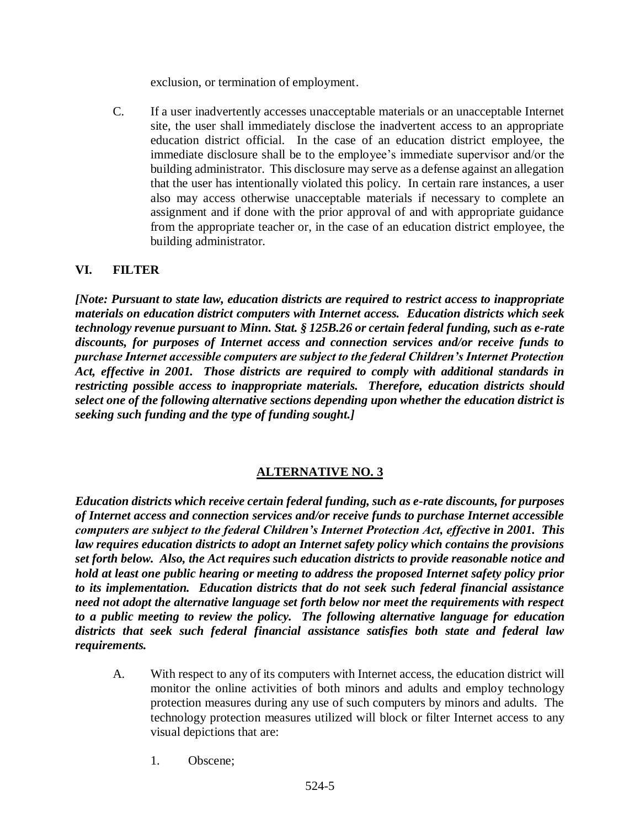exclusion, or termination of employment.

C. If a user inadvertently accesses unacceptable materials or an unacceptable Internet site, the user shall immediately disclose the inadvertent access to an appropriate education district official. In the case of an education district employee, the immediate disclosure shall be to the employee's immediate supervisor and/or the building administrator. This disclosure may serve as a defense against an allegation that the user has intentionally violated this policy. In certain rare instances, a user also may access otherwise unacceptable materials if necessary to complete an assignment and if done with the prior approval of and with appropriate guidance from the appropriate teacher or, in the case of an education district employee, the building administrator.

## **VI. FILTER**

*[Note: Pursuant to state law, education districts are required to restrict access to inappropriate materials on education district computers with Internet access. Education districts which seek technology revenue pursuant to Minn. Stat. § 125B.26 or certain federal funding, such as e-rate discounts, for purposes of Internet access and connection services and/or receive funds to purchase Internet accessible computers are subject to the federal Children's Internet Protection Act, effective in 2001. Those districts are required to comply with additional standards in restricting possible access to inappropriate materials. Therefore, education districts should select one of the following alternative sections depending upon whether the education district is seeking such funding and the type of funding sought.]*

# **ALTERNATIVE NO. 3**

*Education districts which receive certain federal funding, such as e-rate discounts, for purposes of Internet access and connection services and/or receive funds to purchase Internet accessible computers are subject to the federal Children's Internet Protection Act, effective in 2001. This law requires education districts to adopt an Internet safety policy which contains the provisions set forth below. Also, the Act requires such education districts to provide reasonable notice and hold at least one public hearing or meeting to address the proposed Internet safety policy prior to its implementation. Education districts that do not seek such federal financial assistance need not adopt the alternative language set forth below nor meet the requirements with respect to a public meeting to review the policy. The following alternative language for education districts that seek such federal financial assistance satisfies both state and federal law requirements.*

- A. With respect to any of its computers with Internet access, the education district will monitor the online activities of both minors and adults and employ technology protection measures during any use of such computers by minors and adults. The technology protection measures utilized will block or filter Internet access to any visual depictions that are:
	- 1. Obscene;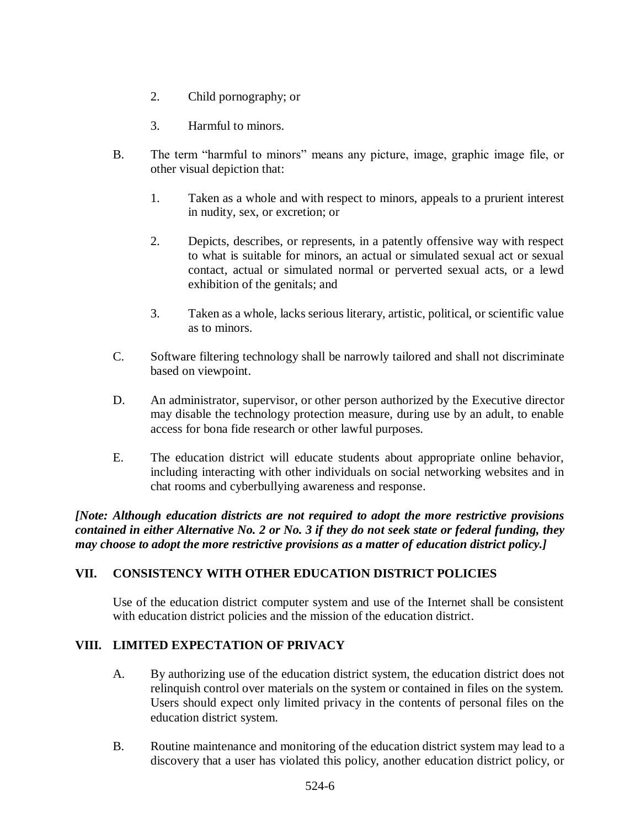- 2. Child pornography; or
- 3. Harmful to minors.
- B. The term "harmful to minors" means any picture, image, graphic image file, or other visual depiction that:
	- 1. Taken as a whole and with respect to minors, appeals to a prurient interest in nudity, sex, or excretion; or
	- 2. Depicts, describes, or represents, in a patently offensive way with respect to what is suitable for minors, an actual or simulated sexual act or sexual contact, actual or simulated normal or perverted sexual acts, or a lewd exhibition of the genitals; and
	- 3. Taken as a whole, lacks serious literary, artistic, political, or scientific value as to minors.
- C. Software filtering technology shall be narrowly tailored and shall not discriminate based on viewpoint.
- D. An administrator, supervisor, or other person authorized by the Executive director may disable the technology protection measure, during use by an adult, to enable access for bona fide research or other lawful purposes.
- E. The education district will educate students about appropriate online behavior, including interacting with other individuals on social networking websites and in chat rooms and cyberbullying awareness and response.

*[Note: Although education districts are not required to adopt the more restrictive provisions contained in either Alternative No. 2 or No. 3 if they do not seek state or federal funding, they may choose to adopt the more restrictive provisions as a matter of education district policy.]*

### **VII. CONSISTENCY WITH OTHER EDUCATION DISTRICT POLICIES**

Use of the education district computer system and use of the Internet shall be consistent with education district policies and the mission of the education district.

# **VIII. LIMITED EXPECTATION OF PRIVACY**

- A. By authorizing use of the education district system, the education district does not relinquish control over materials on the system or contained in files on the system. Users should expect only limited privacy in the contents of personal files on the education district system.
- B. Routine maintenance and monitoring of the education district system may lead to a discovery that a user has violated this policy, another education district policy, or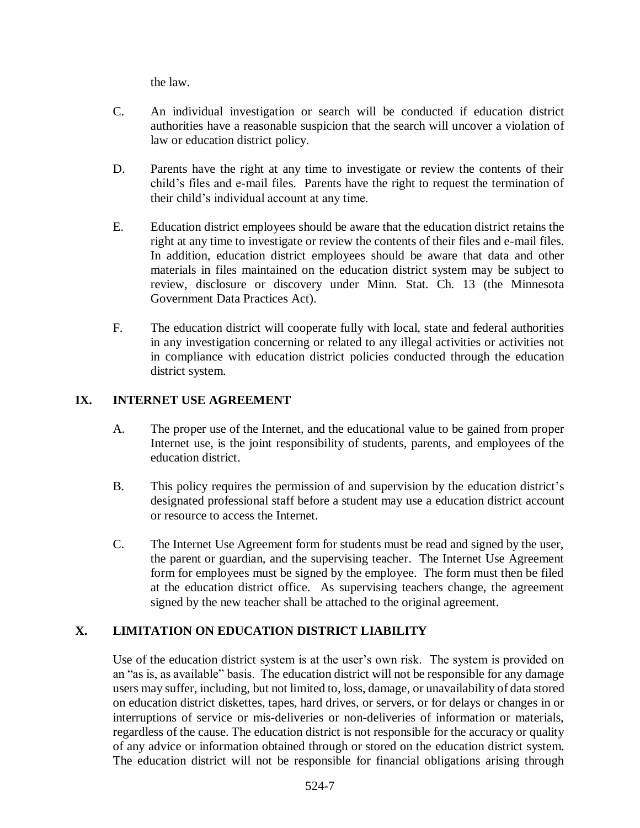the law.

- C. An individual investigation or search will be conducted if education district authorities have a reasonable suspicion that the search will uncover a violation of law or education district policy.
- D. Parents have the right at any time to investigate or review the contents of their child's files and e-mail files. Parents have the right to request the termination of their child's individual account at any time.
- E. Education district employees should be aware that the education district retains the right at any time to investigate or review the contents of their files and e-mail files. In addition, education district employees should be aware that data and other materials in files maintained on the education district system may be subject to review, disclosure or discovery under Minn. Stat. Ch. 13 (the Minnesota Government Data Practices Act).
- F. The education district will cooperate fully with local, state and federal authorities in any investigation concerning or related to any illegal activities or activities not in compliance with education district policies conducted through the education district system.

## **IX. INTERNET USE AGREEMENT**

- A. The proper use of the Internet, and the educational value to be gained from proper Internet use, is the joint responsibility of students, parents, and employees of the education district.
- B. This policy requires the permission of and supervision by the education district's designated professional staff before a student may use a education district account or resource to access the Internet.
- C. The Internet Use Agreement form for students must be read and signed by the user, the parent or guardian, and the supervising teacher. The Internet Use Agreement form for employees must be signed by the employee. The form must then be filed at the education district office. As supervising teachers change, the agreement signed by the new teacher shall be attached to the original agreement.

# **X. LIMITATION ON EDUCATION DISTRICT LIABILITY**

Use of the education district system is at the user's own risk. The system is provided on an "as is, as available" basis. The education district will not be responsible for any damage users may suffer, including, but not limited to, loss, damage, or unavailability of data stored on education district diskettes, tapes, hard drives, or servers, or for delays or changes in or interruptions of service or mis-deliveries or non-deliveries of information or materials, regardless of the cause. The education district is not responsible for the accuracy or quality of any advice or information obtained through or stored on the education district system. The education district will not be responsible for financial obligations arising through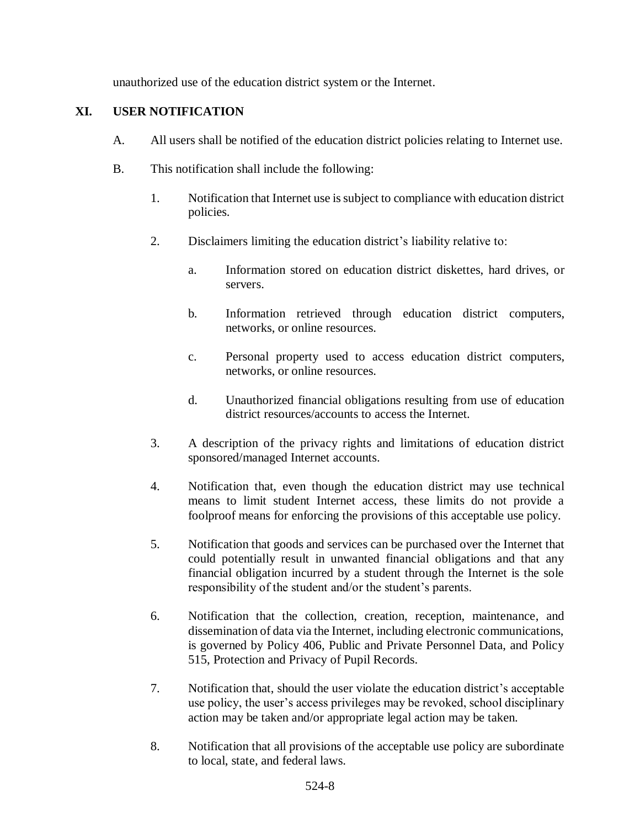unauthorized use of the education district system or the Internet.

## **XI. USER NOTIFICATION**

- A. All users shall be notified of the education district policies relating to Internet use.
- B. This notification shall include the following:
	- 1. Notification that Internet use is subject to compliance with education district policies.
	- 2. Disclaimers limiting the education district's liability relative to:
		- a. Information stored on education district diskettes, hard drives, or servers.
		- b. Information retrieved through education district computers, networks, or online resources.
		- c. Personal property used to access education district computers, networks, or online resources.
		- d. Unauthorized financial obligations resulting from use of education district resources/accounts to access the Internet.
	- 3. A description of the privacy rights and limitations of education district sponsored/managed Internet accounts.
	- 4. Notification that, even though the education district may use technical means to limit student Internet access, these limits do not provide a foolproof means for enforcing the provisions of this acceptable use policy.
	- 5. Notification that goods and services can be purchased over the Internet that could potentially result in unwanted financial obligations and that any financial obligation incurred by a student through the Internet is the sole responsibility of the student and/or the student's parents.
	- 6. Notification that the collection, creation, reception, maintenance, and dissemination of data via the Internet, including electronic communications, is governed by Policy 406, Public and Private Personnel Data, and Policy 515, Protection and Privacy of Pupil Records.
	- 7. Notification that, should the user violate the education district's acceptable use policy, the user's access privileges may be revoked, school disciplinary action may be taken and/or appropriate legal action may be taken.
	- 8. Notification that all provisions of the acceptable use policy are subordinate to local, state, and federal laws.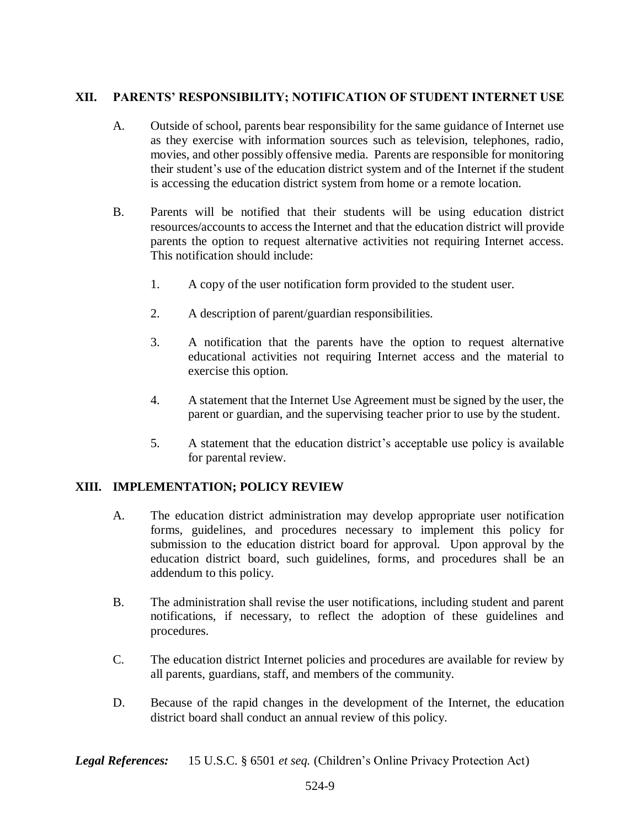### **XII. PARENTS' RESPONSIBILITY; NOTIFICATION OF STUDENT INTERNET USE**

- A. Outside of school, parents bear responsibility for the same guidance of Internet use as they exercise with information sources such as television, telephones, radio, movies, and other possibly offensive media. Parents are responsible for monitoring their student's use of the education district system and of the Internet if the student is accessing the education district system from home or a remote location.
- B. Parents will be notified that their students will be using education district resources/accounts to access the Internet and that the education district will provide parents the option to request alternative activities not requiring Internet access. This notification should include:
	- 1. A copy of the user notification form provided to the student user.
	- 2. A description of parent/guardian responsibilities.
	- 3. A notification that the parents have the option to request alternative educational activities not requiring Internet access and the material to exercise this option.
	- 4. A statement that the Internet Use Agreement must be signed by the user, the parent or guardian, and the supervising teacher prior to use by the student.
	- 5. A statement that the education district's acceptable use policy is available for parental review.

### **XIII. IMPLEMENTATION; POLICY REVIEW**

- A. The education district administration may develop appropriate user notification forms, guidelines, and procedures necessary to implement this policy for submission to the education district board for approval. Upon approval by the education district board, such guidelines, forms, and procedures shall be an addendum to this policy.
- B. The administration shall revise the user notifications, including student and parent notifications, if necessary, to reflect the adoption of these guidelines and procedures.
- C. The education district Internet policies and procedures are available for review by all parents, guardians, staff, and members of the community.
- D. Because of the rapid changes in the development of the Internet, the education district board shall conduct an annual review of this policy.

*Legal References:* 15 U.S.C. § 6501 *et seq.* (Children's Online Privacy Protection Act)